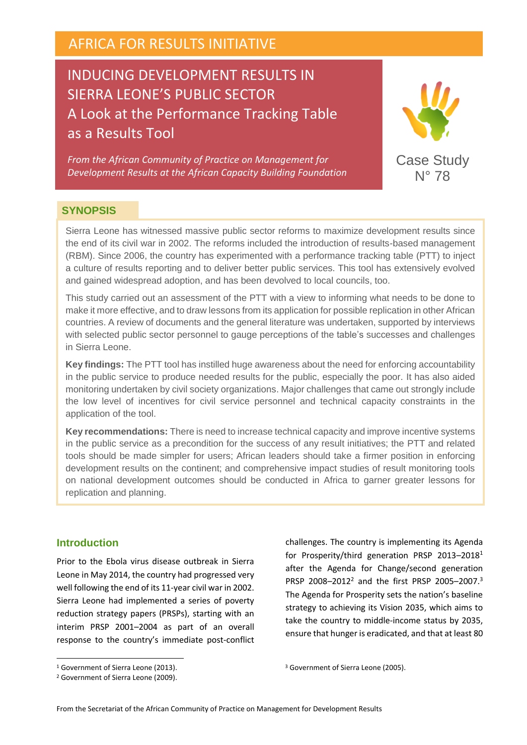# AFRICA FOR RESULTS INITIATIVE

# INDUCING DEVELOPMENT RESULTS IN SIERRA LEONE'S PUBLIC SECTOR A Look at the Performance Tracking Table as a Results Tool

*From the African Community of Practice on Management for Development Results at the African Capacity Building Foundation* 



#### **SYNOPSIS**

Sierra Leone has witnessed massive public sector reforms to maximize development results since the end of its civil war in 2002. The reforms included the introduction of results-based management (RBM). Since 2006, the country has experimented with a performance tracking table (PTT) to inject a culture of results reporting and to deliver better public services. This tool has extensively evolved and gained widespread adoption, and has been devolved to local councils, too.

This study carried out an assessment of the PTT with a view to informing what needs to be done to make it more effective, and to draw lessons from its application for possible replication in other African countries. A review of documents and the general literature was undertaken, supported by interviews with selected public sector personnel to gauge perceptions of the table's successes and challenges in Sierra Leone.

**Key findings:** The PTT tool has instilled huge awareness about the need for enforcing accountability in the public service to produce needed results for the public, especially the poor. It has also aided monitoring undertaken by civil society organizations. Major challenges that came out strongly include the low level of incentives for civil service personnel and technical capacity constraints in the application of the tool.

**Key recommendations:** There is need to increase technical capacity and improve incentive systems in the public service as a precondition for the success of any result initiatives; the PTT and related tools should be made simpler for users; African leaders should take a firmer position in enforcing development results on the continent; and comprehensive impact studies of result monitoring tools on national development outcomes should be conducted in Africa to garner greater lessons for replication and planning.

## **Introduction**

 $\overline{a}$ 

Prior to the Ebola virus disease outbreak in Sierra Leone in May 2014, the country had progressed very well following the end of its 11-year civil war in 2002. Sierra Leone had implemented a series of poverty reduction strategy papers (PRSPs), starting with an interim PRSP 2001–2004 as part of an overall response to the country's immediate post-conflict challenges. The country is implementing its Agenda for Prosperity/third generation PRSP 2013–2018<sup>1</sup> after the Agenda for Change/second generation PRSP 2008–2012<sup>2</sup> and the first PRSP 2005–2007.<sup>3</sup> The Agenda for Prosperity sets the nation's baseline strategy to achieving its Vision 2035, which aims to take the country to middle-income status by 2035, ensure that hunger is eradicated, and that at least 80

<sup>&</sup>lt;sup>1</sup> Government of Sierra Leone (2013).

<sup>2</sup> Government of Sierra Leone (2009).

<sup>&</sup>lt;sup>3</sup> Government of Sierra Leone (2005).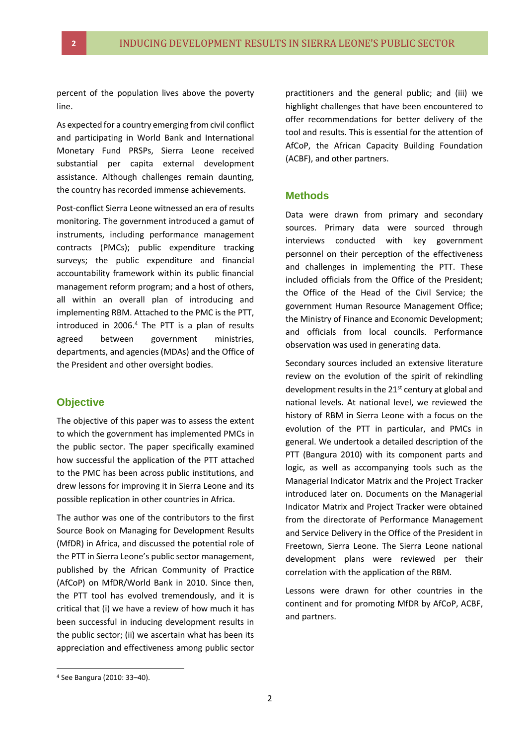percent of the population lives above the poverty line.

As expected for a country emerging from civil conflict and participating in World Bank and International Monetary Fund PRSPs, Sierra Leone received substantial per capita external development assistance. Although challenges remain daunting, the country has recorded immense achievements.

Post-conflict Sierra Leone witnessed an era of results monitoring. The government introduced a gamut of instruments, including performance management contracts (PMCs); public expenditure tracking surveys; the public expenditure and financial accountability framework within its public financial management reform program; and a host of others, all within an overall plan of introducing and implementing RBM. Attached to the PMC is the PTT, introduced in 2006.<sup>4</sup> The PTT is a plan of results agreed between government ministries, departments, and agencies (MDAs) and the Office of the President and other oversight bodies.

#### **Objective**

The objective of this paper was to assess the extent to which the government has implemented PMCs in the public sector. The paper specifically examined how successful the application of the PTT attached to the PMC has been across public institutions, and drew lessons for improving it in Sierra Leone and its possible replication in other countries in Africa.

The author was one of the contributors to the first Source Book on Managing for Development Results (MfDR) in Africa, and discussed the potential role of the PTT in Sierra Leone's public sector management, published by the African Community of Practice (AfCoP) on MfDR/World Bank in 2010. Since then, the PTT tool has evolved tremendously, and it is critical that (i) we have a review of how much it has been successful in inducing development results in the public sector; (ii) we ascertain what has been its appreciation and effectiveness among public sector

practitioners and the general public; and (iii) we highlight challenges that have been encountered to offer recommendations for better delivery of the tool and results. This is essential for the attention of AfCoP, the African Capacity Building Foundation (ACBF), and other partners.

#### **Methods**

Data were drawn from primary and secondary sources. Primary data were sourced through interviews conducted with key government personnel on their perception of the effectiveness and challenges in implementing the PTT. These included officials from the Office of the President; the Office of the Head of the Civil Service; the government Human Resource Management Office; the Ministry of Finance and Economic Development; and officials from local councils. Performance observation was used in generating data.

Secondary sources included an extensive literature review on the evolution of the spirit of rekindling development results in the 21<sup>st</sup> century at global and national levels. At national level, we reviewed the history of RBM in Sierra Leone with a focus on the evolution of the PTT in particular, and PMCs in general. We undertook a detailed description of the PTT (Bangura 2010) with its component parts and logic, as well as accompanying tools such as the Managerial Indicator Matrix and the Project Tracker introduced later on. Documents on the Managerial Indicator Matrix and Project Tracker were obtained from the directorate of Performance Management and Service Delivery in the Office of the President in Freetown, Sierra Leone. The Sierra Leone national development plans were reviewed per their correlation with the application of the RBM.

Lessons were drawn for other countries in the continent and for promoting MfDR by AfCoP, ACBF, and partners.

<sup>4</sup> See Bangura (2010: 33–40).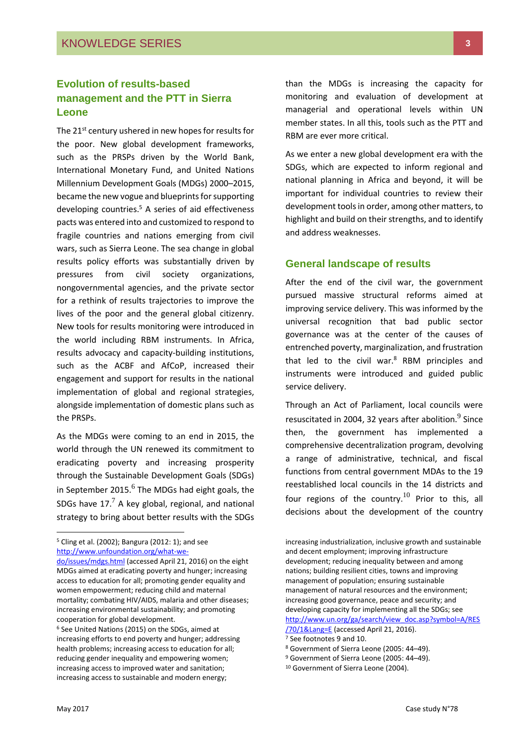## **Evolution of results-based management and the PTT in Sierra Leone**

The 21<sup>st</sup> century ushered in new hopes for results for the poor. New global development frameworks, such as the PRSPs driven by the World Bank, International Monetary Fund, and United Nations Millennium Development Goals (MDGs) 2000–2015, became the new vogue and blueprints for supporting developing countries.<sup>5</sup> A series of aid effectiveness pacts was entered into and customized to respond to fragile countries and nations emerging from civil wars, such as Sierra Leone. The sea change in global results policy efforts was substantially driven by pressures from civil society organizations, nongovernmental agencies, and the private sector for a rethink of results trajectories to improve the lives of the poor and the general global citizenry. New tools for results monitoring were introduced in the world including RBM instruments. In Africa, results advocacy and capacity-building institutions, such as the ACBF and AfCoP, increased their engagement and support for results in the national implementation of global and regional strategies, alongside implementation of domestic plans such as the PRSPs.

As the MDGs were coming to an end in 2015, the world through the UN renewed its commitment to eradicating poverty and increasing prosperity through the Sustainable Development Goals (SDGs) in September 2015. $^6$  The MDGs had eight goals, the SDGs have  $17<sup>7</sup>$  A key global, regional, and national strategy to bring about better results with the SDGs

<sup>5</sup> Cling et al. (2002); Bangura (2012: 1); and see [http://www.unfoundation.org/what-we-](http://www.unfoundation.org/what-we-do/issues/mdgs.html) than the MDGs is increasing the capacity for monitoring and evaluation of development at managerial and operational levels within UN member states. In all this, tools such as the PTT and RBM are ever more critical.

As we enter a new global development era with the SDGs, which are expected to inform regional and national planning in Africa and beyond, it will be important for individual countries to review their development tools in order, among other matters, to highlight and build on their strengths, and to identify and address weaknesses.

#### **General landscape of results**

After the end of the civil war, the government pursued massive structural reforms aimed at improving service delivery. This was informed by the universal recognition that bad public sector governance was at the center of the causes of entrenched poverty, marginalization, and frustration that led to the civil war.<sup>8</sup> RBM principles and instruments were introduced and guided public service delivery.

Through an Act of Parliament, local councils were resuscitated in 2004, 32 years after abolition. $^9$  Since then, the government has implemented a comprehensive decentralization program, devolving a range of administrative, technical, and fiscal functions from central government MDAs to the 19 reestablished local councils in the 14 districts and four regions of the country.<sup>10</sup> Prior to this, all decisions about the development of the country

[do/issues/mdgs.html](http://www.unfoundation.org/what-we-do/issues/mdgs.html) (accessed April 21, 2016) on the eight MDGs aimed at eradicating poverty and hunger; increasing access to education for all; promoting gender equality and women empowerment; reducing child and maternal mortality; combating HIV/AIDS, malaria and other diseases; increasing environmental sustainability; and promoting cooperation for global development.

<sup>6</sup> See United Nations (2015) on the SDGs, aimed at increasing efforts to end poverty and hunger; addressing health problems; increasing access to education for all; reducing gender inequality and empowering women; increasing access to improved water and sanitation; increasing access to sustainable and modern energy;

increasing industrialization, inclusive growth and sustainable and decent employment; improving infrastructure development; reducing inequality between and among nations; building resilient cities, towns and improving management of population; ensuring sustainable management of natural resources and the environment; increasing good governance, peace and security; and developing capacity for implementing all the SDGs; see [http://www.un.org/ga/search/view\\_doc.asp?symbol=A/RES](http://www.un.org/ga/search/view_doc.asp?symbol=A/RES/70/1&Lang=E) [/70/1&Lang=E](http://www.un.org/ga/search/view_doc.asp?symbol=A/RES/70/1&Lang=E) (accessed April 21, 2016).

<sup>7</sup> See footnotes 9 and 10.

<sup>8</sup> Government of Sierra Leone (2005: 44–49).

<sup>9</sup> Government of Sierra Leone (2005: 44–49).

<sup>&</sup>lt;sup>10</sup> Government of Sierra Leone (2004).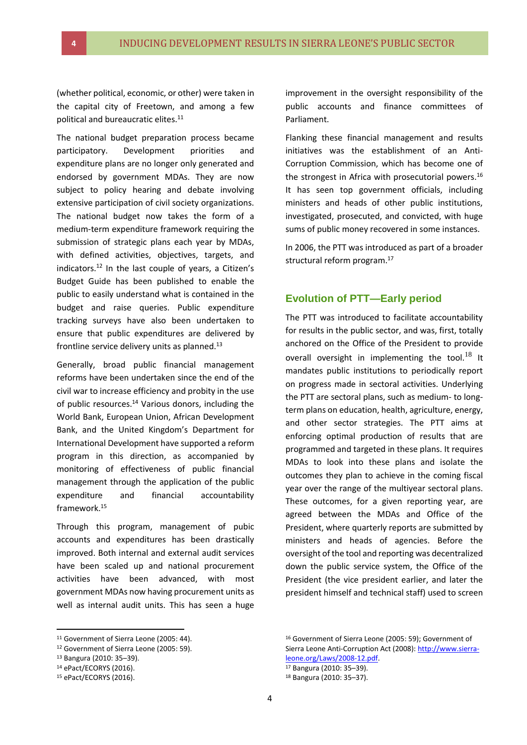(whether political, economic, or other) were taken in the capital city of Freetown, and among a few political and bureaucratic elites.<sup>11</sup>

The national budget preparation process became participatory. Development priorities and expenditure plans are no longer only generated and endorsed by government MDAs. They are now subject to policy hearing and debate involving extensive participation of civil society organizations. The national budget now takes the form of a medium-term expenditure framework requiring the submission of strategic plans each year by MDAs, with defined activities, objectives, targets, and indicators.<sup>12</sup> In the last couple of years, a Citizen's Budget Guide has been published to enable the public to easily understand what is contained in the budget and raise queries. Public expenditure tracking surveys have also been undertaken to ensure that public expenditures are delivered by frontline service delivery units as planned. $^{13}$ 

Generally, broad public financial management reforms have been undertaken since the end of the civil war to increase efficiency and probity in the use of public resources.<sup>14</sup> Various donors, including the World Bank, European Union, African Development Bank, and the United Kingdom's Department for International Development have supported a reform program in this direction, as accompanied by monitoring of effectiveness of public financial management through the application of the public expenditure and financial accountability framework.<sup>15</sup>

Through this program, management of pubic accounts and expenditures has been drastically improved. Both internal and external audit services have been scaled up and national procurement activities have been advanced, with most government MDAs now having procurement units as well as internal audit units. This has seen a huge

-

improvement in the oversight responsibility of the public accounts and finance committees of Parliament.

Flanking these financial management and results initiatives was the establishment of an Anti-Corruption Commission, which has become one of the strongest in Africa with prosecutorial powers.<sup>16</sup> It has seen top government officials, including ministers and heads of other public institutions, investigated, prosecuted, and convicted, with huge sums of public money recovered in some instances.

In 2006, the PTT was introduced as part of a broader structural reform program.<sup>17</sup>

#### **Evolution of PTT—Early period**

The PTT was introduced to facilitate accountability for results in the public sector, and was, first, totally anchored on the Office of the President to provide overall oversight in implementing the tool.<sup>18</sup> It mandates public institutions to periodically report on progress made in sectoral activities. Underlying the PTT are sectoral plans, such as medium- to longterm plans on education, health, agriculture, energy, and other sector strategies. The PTT aims at enforcing optimal production of results that are programmed and targeted in these plans. It requires MDAs to look into these plans and isolate the outcomes they plan to achieve in the coming fiscal year over the range of the multiyear sectoral plans. These outcomes, for a given reporting year, are agreed between the MDAs and Office of the President, where quarterly reports are submitted by ministers and heads of agencies. Before the oversight of the tool and reporting was decentralized down the public service system, the Office of the President (the vice president earlier, and later the president himself and technical staff) used to screen

<sup>&</sup>lt;sup>11</sup> Government of Sierra Leone (2005: 44).

<sup>12</sup> Government of Sierra Leone (2005: 59).

<sup>13</sup> Bangura (2010: 35–39).

<sup>&</sup>lt;sup>14</sup> ePact/ECORYS (2016).

<sup>15</sup> ePact/ECORYS (2016).

<sup>16</sup> Government of Sierra Leone (2005: 59); Government of Sierra Leone Anti-Corruption Act (2008): [http://www.sierra](http://www.sierra-leone.org/Laws/2008-12.pdf)[leone.org/Laws/2008-12.pdf.](http://www.sierra-leone.org/Laws/2008-12.pdf)

<sup>17</sup> Bangura (2010: 35–39).

<sup>18</sup> Bangura (2010: 35–37).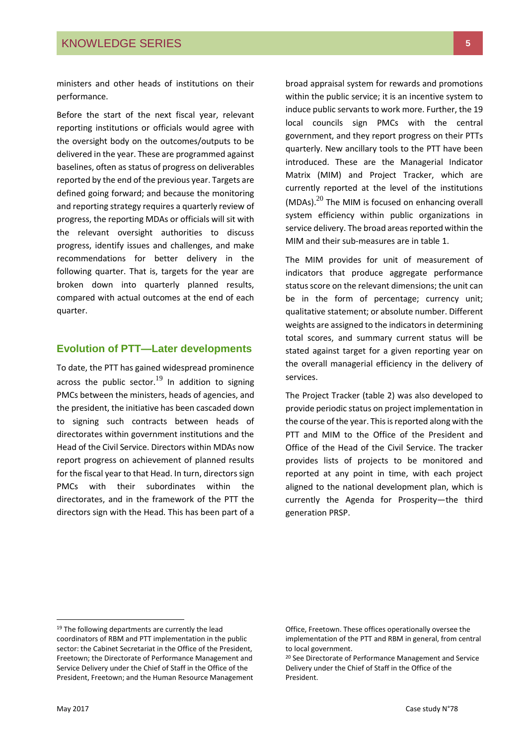ministers and other heads of institutions on their performance.

Before the start of the next fiscal year, relevant reporting institutions or officials would agree with the oversight body on the outcomes/outputs to be delivered in the year. These are programmed against baselines, often as status of progress on deliverables reported by the end of the previous year. Targets are defined going forward; and because the monitoring and reporting strategy requires a quarterly review of progress, the reporting MDAs or officials will sit with the relevant oversight authorities to discuss progress, identify issues and challenges, and make recommendations for better delivery in the following quarter. That is, targets for the year are broken down into quarterly planned results, compared with actual outcomes at the end of each quarter.

#### **Evolution of PTT—Later developments**

To date, the PTT has gained widespread prominence across the public sector.<sup>19</sup> In addition to signing PMCs between the ministers, heads of agencies, and the president, the initiative has been cascaded down to signing such contracts between heads of directorates within government institutions and the Head of the Civil Service. Directors within MDAs now report progress on achievement of planned results for the fiscal year to that Head. In turn, directors sign PMCs with their subordinates within the directorates, and in the framework of the PTT the directors sign with the Head. This has been part of a

broad appraisal system for rewards and promotions within the public service; it is an incentive system to induce public servants to work more. Further, the 19 local councils sign PMCs with the central government, and they report progress on their PTTs quarterly. New ancillary tools to the PTT have been introduced. These are the Managerial Indicator Matrix (MIM) and Project Tracker, which are currently reported at the level of the institutions (MDAs). $^{20}$  The MIM is focused on enhancing overall system efficiency within public organizations in service delivery. The broad areas reported within the MIM and their sub-measures are in table 1.

The MIM provides for unit of measurement of indicators that produce aggregate performance status score on the relevant dimensions; the unit can be in the form of percentage; currency unit; qualitative statement; or absolute number. Different weights are assigned to the indicators in determining total scores, and summary current status will be stated against target for a given reporting year on the overall managerial efficiency in the delivery of services.

The Project Tracker (table 2) was also developed to provide periodic status on project implementation in the course of the year. This is reported along with the PTT and MIM to the Office of the President and Office of the Head of the Civil Service. The tracker provides lists of projects to be monitored and reported at any point in time, with each project aligned to the national development plan, which is currently the Agenda for Prosperity—the third generation PRSP.

<sup>&</sup>lt;sup>19</sup> The following departments are currently the lead coordinators of RBM and PTT implementation in the public sector: the Cabinet Secretariat in the Office of the President, Freetown; the Directorate of Performance Management and Service Delivery under the Chief of Staff in the Office of the President, Freetown; and the Human Resource Management

Office, Freetown. These offices operationally oversee the implementation of the PTT and RBM in general, from central to local government.

<sup>20</sup> See Directorate of Performance Management and Service Delivery under the Chief of Staff in the Office of the President.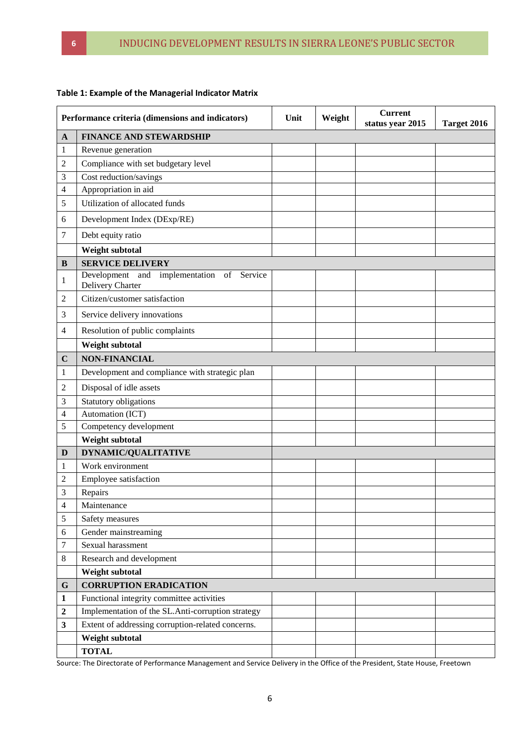| Performance criteria (dimensions and indicators) |                                                               | Unit | Weight | <b>Current</b><br>status year 2015 | Target 2016 |  |  |  |  |  |
|--------------------------------------------------|---------------------------------------------------------------|------|--------|------------------------------------|-------------|--|--|--|--|--|
| $\mathbf A$                                      | <b>FINANCE AND STEWARDSHIP</b>                                |      |        |                                    |             |  |  |  |  |  |
| 1                                                | Revenue generation                                            |      |        |                                    |             |  |  |  |  |  |
| 2                                                | Compliance with set budgetary level                           |      |        |                                    |             |  |  |  |  |  |
| 3                                                | Cost reduction/savings                                        |      |        |                                    |             |  |  |  |  |  |
| 4                                                | Appropriation in aid                                          |      |        |                                    |             |  |  |  |  |  |
| 5                                                | Utilization of allocated funds                                |      |        |                                    |             |  |  |  |  |  |
| 6                                                | Development Index (DExp/RE)                                   |      |        |                                    |             |  |  |  |  |  |
| 7                                                | Debt equity ratio                                             |      |        |                                    |             |  |  |  |  |  |
|                                                  | Weight subtotal                                               |      |        |                                    |             |  |  |  |  |  |
| B                                                | <b>SERVICE DELIVERY</b>                                       |      |        |                                    |             |  |  |  |  |  |
| 1                                                | Development and implementation of Service<br>Delivery Charter |      |        |                                    |             |  |  |  |  |  |
| $\overline{c}$                                   | Citizen/customer satisfaction                                 |      |        |                                    |             |  |  |  |  |  |
| 3                                                | Service delivery innovations                                  |      |        |                                    |             |  |  |  |  |  |
| 4                                                | Resolution of public complaints                               |      |        |                                    |             |  |  |  |  |  |
|                                                  | Weight subtotal                                               |      |        |                                    |             |  |  |  |  |  |
| $\mathbf C$                                      | <b>NON-FINANCIAL</b>                                          |      |        |                                    |             |  |  |  |  |  |
| 1                                                | Development and compliance with strategic plan                |      |        |                                    |             |  |  |  |  |  |
| 2                                                | Disposal of idle assets                                       |      |        |                                    |             |  |  |  |  |  |
| 3                                                | Statutory obligations                                         |      |        |                                    |             |  |  |  |  |  |
| 4                                                | Automation (ICT)                                              |      |        |                                    |             |  |  |  |  |  |
| 5                                                | Competency development                                        |      |        |                                    |             |  |  |  |  |  |
|                                                  | Weight subtotal                                               |      |        |                                    |             |  |  |  |  |  |
| D                                                | <b>DYNAMIC/QUALITATIVE</b>                                    |      |        |                                    |             |  |  |  |  |  |
| 1                                                | Work environment                                              |      |        |                                    |             |  |  |  |  |  |
| $\overline{c}$                                   | Employee satisfaction                                         |      |        |                                    |             |  |  |  |  |  |
| 3                                                | Repairs                                                       |      |        |                                    |             |  |  |  |  |  |
| 4                                                | Maintenance                                                   |      |        |                                    |             |  |  |  |  |  |
| 5                                                | Safety measures                                               |      |        |                                    |             |  |  |  |  |  |
| 6                                                | Gender mainstreaming                                          |      |        |                                    |             |  |  |  |  |  |
| 7                                                | Sexual harassment                                             |      |        |                                    |             |  |  |  |  |  |
| 8                                                | Research and development                                      |      |        |                                    |             |  |  |  |  |  |
|                                                  | Weight subtotal                                               |      |        |                                    |             |  |  |  |  |  |
| G                                                | <b>CORRUPTION ERADICATION</b>                                 |      |        |                                    |             |  |  |  |  |  |
| 1                                                | Functional integrity committee activities                     |      |        |                                    |             |  |  |  |  |  |
| $\boldsymbol{2}$                                 | Implementation of the SL.Anti-corruption strategy             |      |        |                                    |             |  |  |  |  |  |
| 3                                                | Extent of addressing corruption-related concerns.             |      |        |                                    |             |  |  |  |  |  |
|                                                  | Weight subtotal                                               |      |        |                                    |             |  |  |  |  |  |
|                                                  | <b>TOTAL</b>                                                  |      |        |                                    |             |  |  |  |  |  |

#### **Table 1: Example of the Managerial Indicator Matrix**

Source: The Directorate of Performance Management and Service Delivery in the Office of the President, State House, Freetown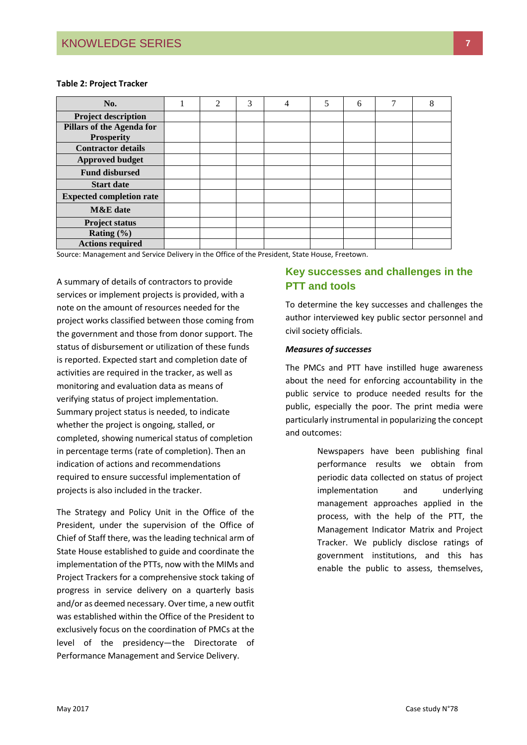#### **Table 2: Project Tracker**

| No.                             | 2 | 3 | 4 | 5 | 6 | 7 | 8 |
|---------------------------------|---|---|---|---|---|---|---|
| <b>Project description</b>      |   |   |   |   |   |   |   |
| Pillars of the Agenda for       |   |   |   |   |   |   |   |
| <b>Prosperity</b>               |   |   |   |   |   |   |   |
| <b>Contractor details</b>       |   |   |   |   |   |   |   |
| <b>Approved budget</b>          |   |   |   |   |   |   |   |
| <b>Fund disbursed</b>           |   |   |   |   |   |   |   |
| <b>Start date</b>               |   |   |   |   |   |   |   |
| <b>Expected completion rate</b> |   |   |   |   |   |   |   |
| <b>M&amp;E</b> date             |   |   |   |   |   |   |   |
| <b>Project status</b>           |   |   |   |   |   |   |   |
| Rating $(\% )$                  |   |   |   |   |   |   |   |
| <b>Actions required</b>         |   |   |   |   |   |   |   |

Source: Management and Service Delivery in the Office of the President, State House, Freetown.

A summary of details of contractors to provide services or implement projects is provided, with a note on the amount of resources needed for the project works classified between those coming from the government and those from donor support. The status of disbursement or utilization of these funds is reported. Expected start and completion date of activities are required in the tracker, as well as monitoring and evaluation data as means of verifying status of project implementation. Summary project status is needed, to indicate whether the project is ongoing, stalled, or completed, showing numerical status of completion in percentage terms (rate of completion). Then an indication of actions and recommendations required to ensure successful implementation of projects is also included in the tracker.

The Strategy and Policy Unit in the Office of the President, under the supervision of the Office of Chief of Staff there, was the leading technical arm of State House established to guide and coordinate the implementation of the PTTs, now with the MIMs and Project Trackers for a comprehensive stock taking of progress in service delivery on a quarterly basis and/or as deemed necessary. Over time, a new outfit was established within the Office of the President to exclusively focus on the coordination of PMCs at the level of the presidency—the Directorate of Performance Management and Service Delivery.

# **Key successes and challenges in the PTT and tools**

To determine the key successes and challenges the author interviewed key public sector personnel and civil society officials.

#### *Measures of successes*

The PMCs and PTT have instilled huge awareness about the need for enforcing accountability in the public service to produce needed results for the public, especially the poor. The print media were particularly instrumental in popularizing the concept and outcomes:

> Newspapers have been publishing final performance results we obtain from periodic data collected on status of project implementation and underlying management approaches applied in the process, with the help of the PTT, the Management Indicator Matrix and Project Tracker. We publicly disclose ratings of government institutions, and this has enable the public to assess, themselves,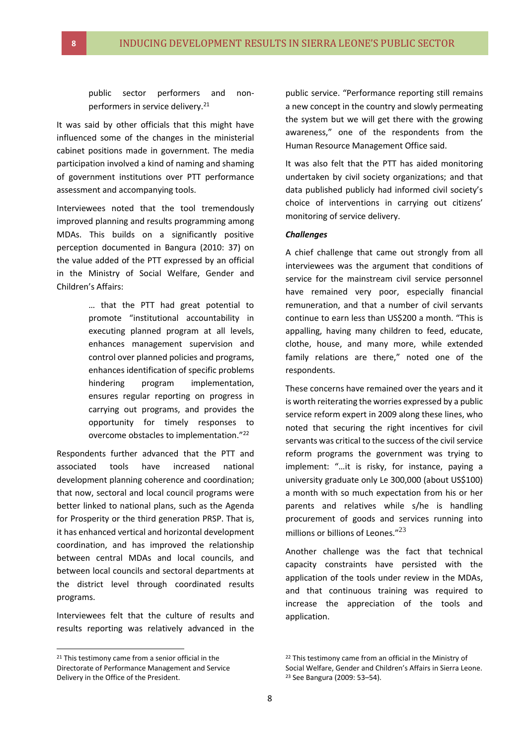public sector performers and nonperformers in service delivery.<sup>21</sup>

It was said by other officials that this might have influenced some of the changes in the ministerial cabinet positions made in government. The media participation involved a kind of naming and shaming of government institutions over PTT performance assessment and accompanying tools.

Interviewees noted that the tool tremendously improved planning and results programming among MDAs. This builds on a significantly positive perception documented in Bangura (2010: 37) on the value added of the PTT expressed by an official in the Ministry of Social Welfare, Gender and Children's Affairs:

> … that the PTT had great potential to promote "institutional accountability in executing planned program at all levels, enhances management supervision and control over planned policies and programs, enhances identification of specific problems hindering program implementation, ensures regular reporting on progress in carrying out programs, and provides the opportunity for timely responses to overcome obstacles to implementation."<sup>22</sup>

Respondents further advanced that the PTT and associated tools have increased national development planning coherence and coordination; that now, sectoral and local council programs were better linked to national plans, such as the Agenda for Prosperity or the third generation PRSP. That is, it has enhanced vertical and horizontal development coordination, and has improved the relationship between central MDAs and local councils, and between local councils and sectoral departments at the district level through coordinated results programs.

Interviewees felt that the culture of results and results reporting was relatively advanced in the

**.** 

public service. "Performance reporting still remains a new concept in the country and slowly permeating the system but we will get there with the growing awareness," one of the respondents from the Human Resource Management Office said.

It was also felt that the PTT has aided monitoring undertaken by civil society organizations; and that data published publicly had informed civil society's choice of interventions in carrying out citizens' monitoring of service delivery.

#### *Challenges*

A chief challenge that came out strongly from all interviewees was the argument that conditions of service for the mainstream civil service personnel have remained very poor, especially financial remuneration, and that a number of civil servants continue to earn less than US\$200 a month. "This is appalling, having many children to feed, educate, clothe, house, and many more, while extended family relations are there," noted one of the respondents.

These concerns have remained over the years and it is worth reiterating the worries expressed by a public service reform expert in 2009 along these lines, who noted that securing the right incentives for civil servants was critical to the success of the civil service reform programs the government was trying to implement: "…it is risky, for instance, paying a university graduate only Le 300,000 (about US\$100) a month with so much expectation from his or her parents and relatives while s/he is handling procurement of goods and services running into millions or billions of Leones."<sup>23</sup>

Another challenge was the fact that technical capacity constraints have persisted with the application of the tools under review in the MDAs, and that continuous training was required to increase the appreciation of the tools and application.

 $21$  This testimony came from a senior official in the Directorate of Performance Management and Service Delivery in the Office of the President.

<sup>&</sup>lt;sup>22</sup> This testimony came from an official in the Ministry of

Social Welfare, Gender and Children's Affairs in Sierra Leone. <sup>23</sup> See Bangura (2009: 53–54).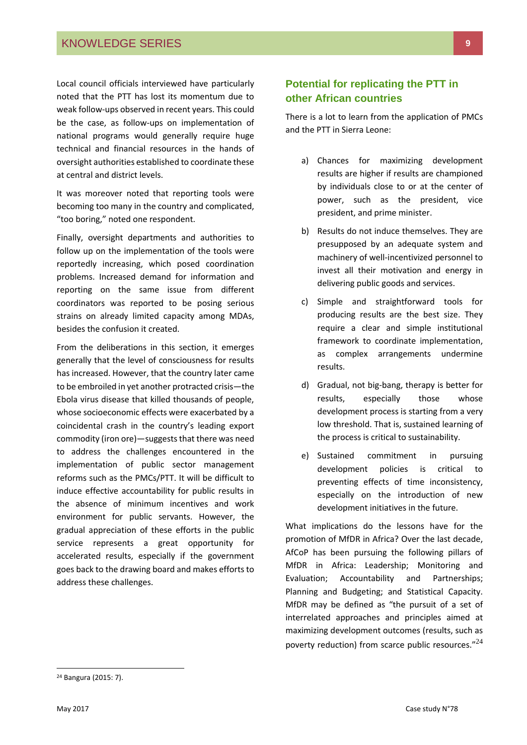Local council officials interviewed have particularly noted that the PTT has lost its momentum due to weak follow-ups observed in recent years. This could be the case, as follow-ups on implementation of national programs would generally require huge technical and financial resources in the hands of oversight authorities established to coordinate these at central and district levels.

It was moreover noted that reporting tools were becoming too many in the country and complicated, "too boring," noted one respondent.

Finally, oversight departments and authorities to follow up on the implementation of the tools were reportedly increasing, which posed coordination problems. Increased demand for information and reporting on the same issue from different coordinators was reported to be posing serious strains on already limited capacity among MDAs, besides the confusion it created.

From the deliberations in this section, it emerges generally that the level of consciousness for results has increased. However, that the country later came to be embroiled in yet another protracted crisis—the Ebola virus disease that killed thousands of people, whose socioeconomic effects were exacerbated by a coincidental crash in the country's leading export commodity (iron ore)—suggests that there was need to address the challenges encountered in the implementation of public sector management reforms such as the PMCs/PTT. It will be difficult to induce effective accountability for public results in the absence of minimum incentives and work environment for public servants. However, the gradual appreciation of these efforts in the public service represents a great opportunity for accelerated results, especially if the government goes back to the drawing board and makes efforts to address these challenges.

## **Potential for replicating the PTT in other African countries**

There is a lot to learn from the application of PMCs and the PTT in Sierra Leone:

- a) Chances for maximizing development results are higher if results are championed by individuals close to or at the center of power, such as the president, vice president, and prime minister.
- b) Results do not induce themselves. They are presupposed by an adequate system and machinery of well-incentivized personnel to invest all their motivation and energy in delivering public goods and services.
- c) Simple and straightforward tools for producing results are the best size. They require a clear and simple institutional framework to coordinate implementation, as complex arrangements undermine results.
- d) Gradual, not big-bang, therapy is better for results, especially those whose development process is starting from a very low threshold. That is, sustained learning of the process is critical to sustainability.
- e) Sustained commitment in pursuing development policies is critical to preventing effects of time inconsistency, especially on the introduction of new development initiatives in the future.

What implications do the lessons have for the promotion of MfDR in Africa? Over the last decade, AfCoP has been pursuing the following pillars of MfDR in Africa: Leadership; Monitoring and Evaluation; Accountability and Partnerships; Planning and Budgeting; and Statistical Capacity. MfDR may be defined as "the pursuit of a set of interrelated approaches and principles aimed at maximizing development outcomes (results, such as poverty reduction) from scarce public resources."<sup>24</sup>

<sup>24</sup> Bangura (2015: 7).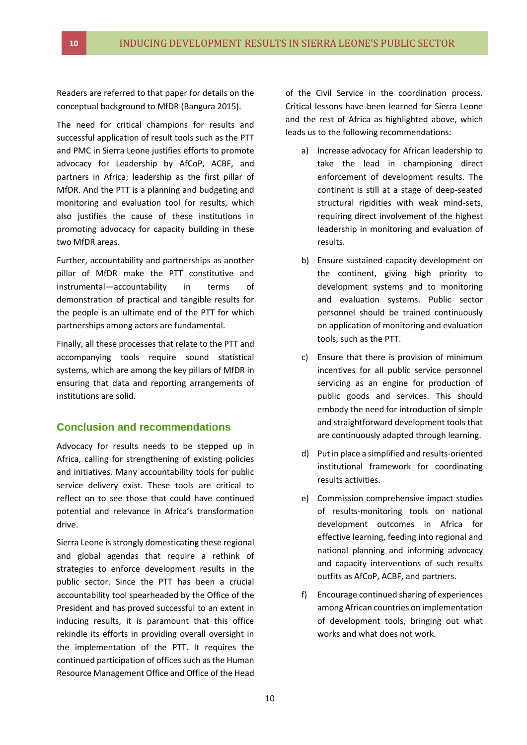Readers are referred to that paper for details on the conceptual background to MfDR (Bangura 2015).

The need for critical champions for results and successful application of result tools such as the PTT and PMC in Sierra Leone justifies efforts to promote advocacy for Leadership by AfCoP, ACBF, and partners in Africa; leadership as the first pillar of MfDR. And the PTT is a planning and budgeting and monitoring and evaluation tool for results, which also justifies the cause of these institutions in promoting advocacy for capacity building in these two MfDR areas.

Further, accountability and partnerships as another pillar of MfDR make the PTT constitutive and instrumental—accountability in terms of demonstration of practical and tangible results for the people is an ultimate end of the PTT for which partnerships among actors are fundamental.

Finally, all these processes that relate to the PTT and accompanying tools require sound statistical systems, which are among the key pillars of MfDR in ensuring that data and reporting arrangements of institutions are solid.

#### **Conclusion and recommendations**

Advocacy for results needs to be stepped up in Africa, calling for strengthening of existing policies and initiatives. Many accountability tools for public service delivery exist. These tools are critical to reflect on to see those that could have continued potential and relevance in Africa's transformation drive.

Sierra Leone is strongly domesticating these regional and global agendas that require a rethink of strategies to enforce development results in the public sector. Since the PTT has been a crucial accountability tool spearheaded by the Office of the President and has proved successful to an extent in inducing results, it is paramount that this office rekindle its efforts in providing overall oversight in the implementation of the PTT. It requires the continued participation of offices such as the Human Resource Management Office and Office of the Head

of the Civil Service in the coordination process. Critical lessons have been learned for Sierra Leone and the rest of Africa as highlighted above, which leads us to the following recommendations:

- a) Increase advocacy for African leadership to take the lead in championing direct enforcement of development results. The continent is still at a stage of deep-seated structural rigidities with weak mind-sets, requiring direct involvement of the highest leadership in monitoring and evaluation of results.
- b) Ensure sustained capacity development on the continent, giving high priority to development systems and to monitoring and evaluation systems. Public sector personnel should be trained continuously on application of monitoring and evaluation tools, such as the PTT.
- c) Ensure that there is provision of minimum incentives for all public service personnel servicing as an engine for production of public goods and services. This should embody the need for introduction of simple and straightforward development tools that are continuously adapted through learning.
- d) Put in place a simplified and results-oriented institutional framework for coordinating results activities.
- e) Commission comprehensive impact studies of results-monitoring tools on national development outcomes in Africa for effective learning, feeding into regional and national planning and informing advocacy and capacity interventions of such results outfits as AfCoP, ACBF, and partners.
- f) Encourage continued sharing of experiences among African countries on implementation of development tools, bringing out what works and what does not work.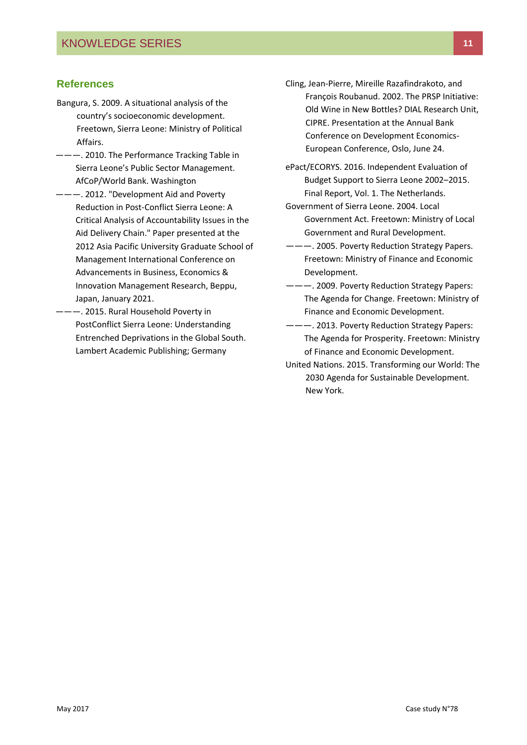#### **References**

- Bangura, S. 2009. A situational analysis of the country's socioeconomic development. Freetown, Sierra Leone: Ministry of Political Affairs.
- ———. 2010. The Performance Tracking Table in Sierra Leone's Public Sector Management. AfCoP/World Bank. Washington
- ———. 2012. "Development Aid and Poverty Reduction in Post-Conflict Sierra Leone: A Critical Analysis of Accountability Issues in the Aid Delivery Chain." Paper presented at the 2012 Asia Pacific University Graduate School of Management International Conference on Advancements in Business, Economics & Innovation Management Research, Beppu, Japan, January 2021.
- ———. 2015. Rural Household Poverty in PostConflict Sierra Leone: Understanding Entrenched Deprivations in the Global South. Lambert Academic Publishing; Germany
- Cling, Jean-Pierre, Mireille Razafindrakoto, and François Roubanud. 2002. The PRSP Initiative: Old Wine in New Bottles? DIAL Research Unit, CIPRE. Presentation at the Annual Bank Conference on Development Economics-European Conference, Oslo, June 24.
- ePact/ECORYS. 2016. Independent Evaluation of Budget Support to Sierra Leone 2002–2015. Final Report, Vol. 1. The Netherlands.
- Government of Sierra Leone. 2004. Local Government Act. Freetown: Ministry of Local Government and Rural Development.
- ———. 2005. Poverty Reduction Strategy Papers. Freetown: Ministry of Finance and Economic Development.
- ———. 2009. Poverty Reduction Strategy Papers: The Agenda for Change. Freetown: Ministry of Finance and Economic Development.
- ———. 2013. Poverty Reduction Strategy Papers: The Agenda for Prosperity. Freetown: Ministry of Finance and Economic Development.
- United Nations. 2015. Transforming our World: The 2030 Agenda for Sustainable Development. New York.